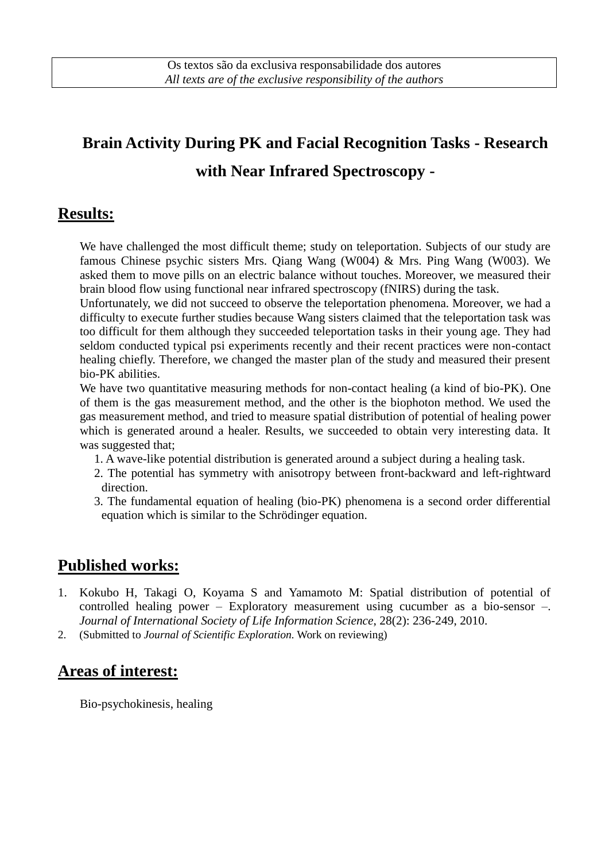# **Brain Activity During PK and Facial Recognition Tasks - Research with Near Infrared Spectroscopy -**

#### **Results:**

We have challenged the most difficult theme; study on teleportation. Subjects of our study are famous Chinese psychic sisters Mrs. Qiang Wang (W004) & Mrs. Ping Wang (W003). We asked them to move pills on an electric balance without touches. Moreover, we measured their brain blood flow using functional near infrared spectroscopy (fNIRS) during the task.

Unfortunately, we did not succeed to observe the teleportation phenomena. Moreover, we had a difficulty to execute further studies because Wang sisters claimed that the teleportation task was too difficult for them although they succeeded teleportation tasks in their young age. They had seldom conducted typical psi experiments recently and their recent practices were non-contact healing chiefly. Therefore, we changed the master plan of the study and measured their present bio-PK abilities.

We have two quantitative measuring methods for non-contact healing (a kind of bio-PK). One of them is the gas measurement method, and the other is the biophoton method. We used the gas measurement method, and tried to measure spatial distribution of potential of healing power which is generated around a healer. Results, we succeeded to obtain very interesting data. It was suggested that;

- 1. A wave-like potential distribution is generated around a subject during a healing task.
- 2. The potential has symmetry with anisotropy between front-backward and left-rightward direction.
- 3. The fundamental equation of healing (bio-PK) phenomena is a second order differential equation which is similar to the Schrödinger equation.

## **Published works:**

- 1. Kokubo H, Takagi O, Koyama S and Yamamoto M: Spatial distribution of potential of controlled healing power – Exploratory measurement using cucumber as a bio-sensor –. *Journal of International Society of Life Information Science*, 28(2): 236-249, 2010.
- 2. (Submitted to *Journal of Scientific Exploration.* Work on reviewing)

#### **Areas of interest:**

Bio-psychokinesis, healing